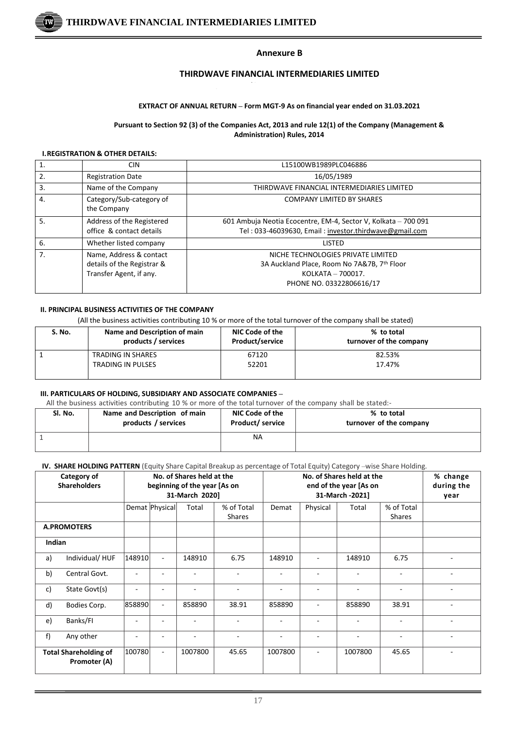

#### **Annexure B**

# **THIRDWAVE FINANCIAL INTERMEDIARIES LIMITED**

#### **EXTRACT OF ANNUAL RETURN – Form MGT-9 As on financial year ended on 31.03.2021**

#### **Pursuant to Section 92 (3) of the Companies Act, 2013 and rule 12(1) of the Company (Management & Administration) Rules, 2014**

#### **I.REGISTRATION & OTHER DETAILS:**

| $\mathbf{1}$   | <b>CIN</b>                                                                       | L15100WB1989PLC046886                                                                                                              |
|----------------|----------------------------------------------------------------------------------|------------------------------------------------------------------------------------------------------------------------------------|
| 2.             | <b>Registration Date</b>                                                         | 16/05/1989                                                                                                                         |
| 3.             | Name of the Company                                                              | THIRDWAVE FINANCIAL INTERMEDIARIES LIMITED                                                                                         |
| 4.             | Category/Sub-category of<br>the Company                                          | <b>COMPANY LIMITED BY SHARES</b>                                                                                                   |
| 5.             | Address of the Registered<br>office & contact details                            | 601 Ambuja Neotia Ecocentre, EM-4, Sector V, Kolkata - 700 091<br>Tel: 033-46039630, Email: investor.thirdwave@gmail.com           |
| 6.             | Whether listed company                                                           | LISTED                                                                                                                             |
| 7 <sub>1</sub> | Name, Address & contact<br>details of the Registrar &<br>Transfer Agent, if any. | NICHE TECHNOLOGIES PRIVATE LIMITED<br>3A Auckland Place, Room No 7A&7B, 7th Floor<br>KOLKATA - 700017.<br>PHONE NO. 03322806616/17 |

#### **II. PRINCIPAL BUSINESS ACTIVITIES OF THE COMPANY**

(All the business activities contributing 10 % or more of the total turnover of the company shall be stated)

| S. No. | Name and Description of main<br>products / services | NIC Code of the<br>Product/service | % to total<br>turnover of the company |
|--------|-----------------------------------------------------|------------------------------------|---------------------------------------|
|        | TRADING IN SHARES                                   | 67120                              | 82.53%                                |
|        | TRADING IN PULSES                                   | 52201                              | 17.47%                                |

#### **III. PARTICULARS OF HOLDING, SUBSIDIARY AND ASSOCIATE COMPANIES –**

All the business activities contributing 10 % or more of the total turnover of the company shall be stated:-

| Sl. No. | Name and Description of main | NIC Code of the        | % to total              |
|---------|------------------------------|------------------------|-------------------------|
|         | products / services          | <b>Product/service</b> | turnover of the company |
|         |                              | ΝA                     |                         |

# **IV. SHARE HOLDING PATTERN** (Equity Share Capital Breakup as percentage of Total Equity) Category –wise Share Holding.

|                                              | TV. SHAKE HULDING PATTEKN (EQUITY STRIFE Capital Breakup as percentage of Total Equity) Category —wise Share Holding. |        |                          |                              |            |                          |          |                           |                          |            |
|----------------------------------------------|-----------------------------------------------------------------------------------------------------------------------|--------|--------------------------|------------------------------|------------|--------------------------|----------|---------------------------|--------------------------|------------|
|                                              | Category of                                                                                                           |        |                          | No. of Shares held at the    |            |                          |          | No. of Shares held at the |                          | % change   |
|                                              | <b>Shareholders</b>                                                                                                   |        |                          | beginning of the year [As on |            |                          |          | end of the year [As on    |                          | during the |
|                                              |                                                                                                                       |        |                          | 31-March 2020]               |            | 31-March -2021]          |          |                           |                          | year       |
|                                              |                                                                                                                       |        | Demat Physical           | Total                        | % of Total | Demat                    | Physical | Total                     | % of Total               |            |
|                                              |                                                                                                                       |        |                          |                              | Shares     |                          |          |                           | <b>Shares</b>            |            |
|                                              | <b>A.PROMOTERS</b>                                                                                                    |        |                          |                              |            |                          |          |                           |                          |            |
| Indian                                       |                                                                                                                       |        |                          |                              |            |                          |          |                           |                          |            |
| a)                                           | Individual/HUF                                                                                                        | 148910 | $\overline{\phantom{a}}$ | 148910                       | 6.75       | 148910                   |          | 148910                    | 6.75                     |            |
| b)                                           | Central Govt.                                                                                                         |        |                          |                              |            |                          |          |                           | ٠                        |            |
| c)                                           | State Govt(s)                                                                                                         |        | ۰                        |                              | ۰          | $\overline{\phantom{a}}$ | ٠        | $\overline{\phantom{a}}$  | $\blacksquare$           |            |
| d)                                           | Bodies Corp.                                                                                                          | 858890 | $\overline{\phantom{a}}$ | 858890                       | 38.91      | 858890                   |          | 858890                    | 38.91                    |            |
| e)                                           | Banks/FI                                                                                                              |        |                          |                              |            |                          |          |                           |                          |            |
| f)                                           | Any other                                                                                                             |        | ۰                        |                              |            |                          |          |                           | $\overline{\phantom{0}}$ |            |
| <b>Total Shareholding of</b><br>Promoter (A) |                                                                                                                       | 100780 | $\overline{\phantom{a}}$ | 1007800                      | 45.65      | 1007800                  |          | 1007800                   | 45.65                    |            |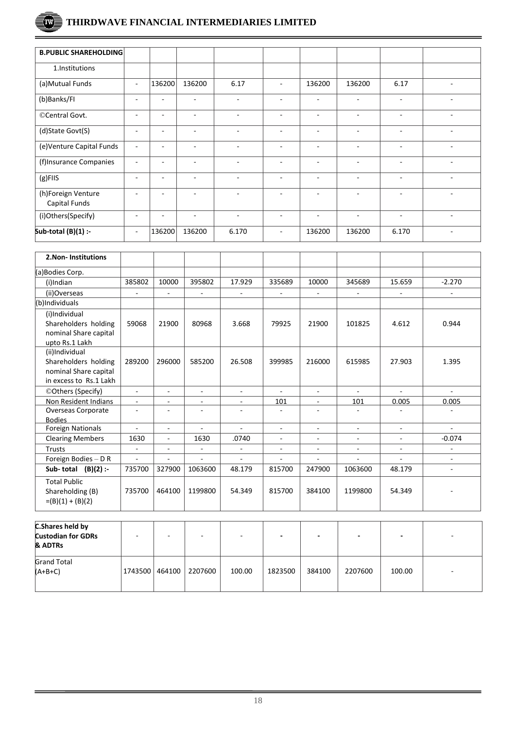# Tw)

| <b>B.PUBLIC SHAREHOLDING</b>        |                          |                          |                          |                          |                          |                          |                          |                          |                          |
|-------------------------------------|--------------------------|--------------------------|--------------------------|--------------------------|--------------------------|--------------------------|--------------------------|--------------------------|--------------------------|
| 1.Institutions                      |                          |                          |                          |                          |                          |                          |                          |                          |                          |
| (a) Mutual Funds                    | $\overline{\phantom{a}}$ | 136200                   | 136200                   | 6.17                     | $\overline{\phantom{a}}$ | 136200                   | 136200                   | 6.17                     | $\blacksquare$           |
| (b)Banks/FI                         | $\overline{\phantom{a}}$ |                          |                          | $\blacksquare$           | $\overline{\phantom{a}}$ | ۰                        | ٠                        | ÷                        | ٠                        |
| ©Central Govt.                      | $\sim$                   |                          |                          | $\blacksquare$           | $\overline{\phantom{a}}$ | ÷                        | $\overline{\phantom{a}}$ | ÷                        | ٠                        |
| (d)State Govt(S)                    | $\overline{a}$           |                          |                          | $\blacksquare$           | ٠                        | ۰                        | ۰                        | ۰                        | $\blacksquare$           |
| (e)Venture Capital Funds            | $\overline{\phantom{a}}$ |                          |                          | $\overline{\phantom{a}}$ | $\overline{\phantom{0}}$ | ٠                        | ۰                        | ۰                        | $\overline{\phantom{a}}$ |
| (f)Insurance Companies              | $\overline{\phantom{a}}$ | $\overline{\phantom{0}}$ | $\overline{\phantom{a}}$ | $\blacksquare$           | $\sim$                   | ٠                        | $\sim$                   | $\overline{\phantom{a}}$ | $\sim$                   |
| $(g)$ FIIS                          | $\overline{\phantom{a}}$ | $\overline{\phantom{0}}$ | $\overline{\phantom{0}}$ | $\overline{\phantom{a}}$ | $\overline{\phantom{a}}$ | $\overline{\phantom{a}}$ | $\overline{\phantom{a}}$ | $\overline{\phantom{a}}$ | $\overline{\phantom{a}}$ |
| (h)Foreign Venture<br>Capital Funds | $\overline{a}$           | ۰                        | $\overline{\phantom{0}}$ | $\overline{\phantom{a}}$ | $\overline{\phantom{a}}$ | ۰                        | ٠                        | $\overline{\phantom{a}}$ | $\overline{\phantom{a}}$ |
| (i)Others(Specify)                  | $\overline{a}$           |                          |                          | $\blacksquare$           | $\overline{\phantom{a}}$ |                          | ۰                        | ۰                        | $\blacksquare$           |
| Sub-total $(B)(1)$ :-               | $\overline{\phantom{a}}$ | 136200                   | 136200                   | 6.170                    | $\sim$                   | 136200                   | 136200                   | 6.170                    |                          |

| 2. Non-Institutions                                           |                |                          |                |                          |                          |                          |                          |                |                          |
|---------------------------------------------------------------|----------------|--------------------------|----------------|--------------------------|--------------------------|--------------------------|--------------------------|----------------|--------------------------|
| (a)Bodies Corp.                                               |                |                          |                |                          |                          |                          |                          |                |                          |
| (i)Indian                                                     | 385802         | 10000                    | 395802         | 17.929                   | 335689                   | 10000                    | 345689                   | 15.659         | $-2.270$                 |
| (ii)Overseas                                                  | ÷,             | ÷,                       | ٠              | $\overline{a}$           | ä,                       | $\blacksquare$           | $\overline{\phantom{a}}$ |                |                          |
| (b)Individuals                                                |                |                          |                |                          |                          |                          |                          |                |                          |
| (i)Individual                                                 |                |                          |                |                          |                          |                          |                          |                |                          |
| Shareholders holding                                          | 59068          | 21900                    | 80968          | 3.668                    | 79925                    | 21900                    | 101825                   | 4.612          | 0.944                    |
| nominal Share capital                                         |                |                          |                |                          |                          |                          |                          |                |                          |
| upto Rs.1 Lakh                                                |                |                          |                |                          |                          |                          |                          |                |                          |
| (ii)Individual                                                |                |                          |                |                          |                          |                          |                          |                |                          |
| Shareholders holding                                          | 289200         | 296000                   | 585200         | 26.508                   | 399985                   | 216000                   | 615985                   | 27.903         | 1.395                    |
| nominal Share capital                                         |                |                          |                |                          |                          |                          |                          |                |                          |
| in excess to Rs.1 Lakh                                        |                |                          |                |                          |                          |                          |                          |                |                          |
| ©Others (Specify)                                             | $\mathbf{r}$   | $\blacksquare$           | ۰              | $\overline{\phantom{a}}$ | ÷.                       | $\blacksquare$           | $\blacksquare$           |                |                          |
| Non Resident Indians                                          | $\blacksquare$ | ٠                        | ٠              | $\overline{\phantom{a}}$ | 101                      | $\mathbf{r}$             | 101                      | 0.005          | 0.005                    |
| Overseas Corporate                                            | ÷,             | ä,                       |                | ÷,                       | $\blacksquare$           | $\overline{\phantom{a}}$ | ÷,                       |                |                          |
| <b>Bodies</b>                                                 |                |                          |                |                          |                          |                          |                          |                |                          |
| <b>Foreign Nationals</b>                                      | $\blacksquare$ | $\blacksquare$           | $\blacksquare$ | $\overline{\phantom{a}}$ | $\blacksquare$           | $\mathbf{r}$             | $\sim$                   | $\blacksquare$ | $\sim$                   |
| <b>Clearing Members</b>                                       | 1630           | $\blacksquare$           | 1630           | .0740                    | $\overline{\phantom{a}}$ | $\overline{\phantom{a}}$ | $\blacksquare$           | ÷,             | $-0.074$                 |
| Trusts                                                        | $\blacksquare$ | $\overline{\phantom{a}}$ | ÷.             | $\overline{\phantom{a}}$ | $\overline{\phantom{a}}$ | $\blacksquare$           | $\blacksquare$           | $\blacksquare$ | ٠                        |
| Foreign Bodies - D R                                          | ٠              | ٠                        | ٠              | $\overline{\phantom{a}}$ | ٠                        | L,                       | $\overline{\phantom{a}}$ |                | ٠                        |
| Sub-total $(B)(2)$ :-                                         | 735700         | 327900                   | 1063600        | 48.179                   | 815700                   | 247900                   | 1063600                  | 48.179         |                          |
| <b>Total Public</b><br>Shareholding (B)<br>$=(B)(1) + (B)(2)$ | 735700         | 464100                   | 1199800        | 54.349                   | 815700                   | 384100                   | 1199800                  | 54.349         | $\overline{\phantom{m}}$ |

| C.Shares held by<br><b>Custodian for GDRs</b><br>& ADTRs | ۰       | -      |         | $\overline{\phantom{a}}$ | -       | $\overline{\phantom{a}}$ |         | -      | $\overline{\phantom{a}}$ |
|----------------------------------------------------------|---------|--------|---------|--------------------------|---------|--------------------------|---------|--------|--------------------------|
| <b>Grand Total</b><br>$(A+B+C)$                          | 1743500 | 464100 | 2207600 | 100.00                   | 1823500 | 384100                   | 2207600 | 100.00 | $\overline{\phantom{a}}$ |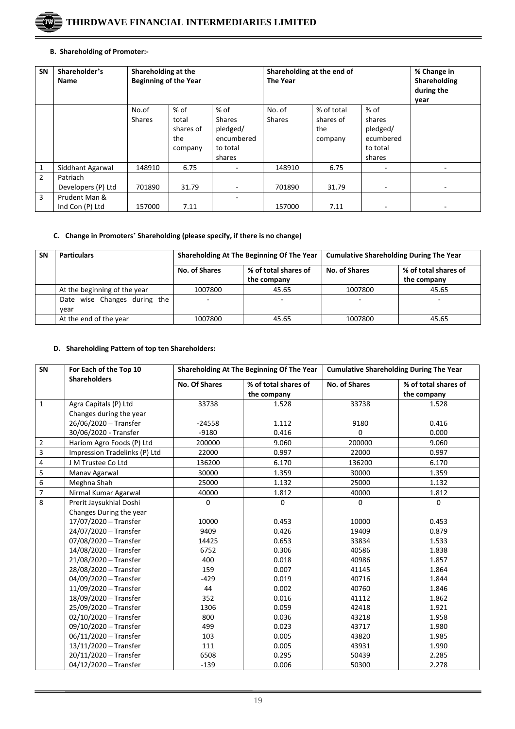

## **B. Shareholding of Promoter:-**

| <b>SN</b>      | Shareholder's<br>Name            | Shareholding at the<br><b>Beginning of the Year</b> |                                                |                                                                         | Shareholding at the end of<br><b>The Year</b> |                                           |                                                                 | % Change in<br>Shareholding<br>during the<br>year |
|----------------|----------------------------------|-----------------------------------------------------|------------------------------------------------|-------------------------------------------------------------------------|-----------------------------------------------|-------------------------------------------|-----------------------------------------------------------------|---------------------------------------------------|
|                |                                  | No.of<br><b>Shares</b>                              | $%$ of<br>total<br>shares of<br>the<br>company | $%$ of<br><b>Shares</b><br>pledged/<br>encumbered<br>to total<br>shares | No. of<br><b>Shares</b>                       | % of total<br>shares of<br>the<br>company | $%$ of<br>shares<br>pledged/<br>ecumbered<br>to total<br>shares |                                                   |
| 1              | Siddhant Agarwal                 | 148910                                              | 6.75                                           |                                                                         | 148910                                        | 6.75                                      | $\overline{\phantom{0}}$                                        |                                                   |
| $\overline{2}$ | Patriach<br>Developers (P) Ltd   | 701890                                              | 31.79                                          |                                                                         | 701890                                        | 31.79                                     | ٠                                                               |                                                   |
| 3              | Prudent Man &<br>Ind Con (P) Ltd | 157000                                              | 7.11                                           |                                                                         | 157000                                        | 7.11                                      | $\overline{\phantom{0}}$                                        |                                                   |

## **C. Change in Promoters' Shareholding (please specify, if there is no change)**

| <b>SN</b> | <b>Particulars</b>                   |               | Shareholding At The Beginning Of The Year | <b>Cumulative Shareholding During The Year</b> |                                     |  |
|-----------|--------------------------------------|---------------|-------------------------------------------|------------------------------------------------|-------------------------------------|--|
|           |                                      | No. of Shares | % of total shares of<br>the company       | No. of Shares                                  | % of total shares of<br>the company |  |
|           | At the beginning of the year         | 1007800       | 45.65                                     | 1007800                                        | 45.65                               |  |
|           | Date wise Changes during the<br>vear |               |                                           |                                                |                                     |  |
|           | At the end of the year               | 1007800       | 45.65                                     | 1007800                                        | 45.65                               |  |

# **D. Shareholding Pattern of top ten Shareholders:**

| SN                      | For Each of the Top 10        |                      | Shareholding At The Beginning Of The Year | <b>Cumulative Shareholding During The Year</b> |                      |
|-------------------------|-------------------------------|----------------------|-------------------------------------------|------------------------------------------------|----------------------|
|                         | <b>Shareholders</b>           | <b>No. Of Shares</b> | % of total shares of                      | <b>No. of Shares</b>                           | % of total shares of |
|                         |                               |                      | the company                               |                                                | the company          |
| $\mathbf{1}$            | Agra Capitals (P) Ltd         | 33738                | 1.528                                     | 33738                                          | 1.528                |
|                         | Changes during the year       |                      |                                           |                                                |                      |
|                         | 26/06/2020 - Transfer         | $-24558$             | 1.112                                     | 9180                                           | 0.416                |
|                         | 30/06/2020 - Transfer         | $-9180$              | 0.416                                     | 0                                              | 0.000                |
| $\overline{2}$          | Hariom Agro Foods (P) Ltd     | 200000               | 9.060                                     | 200000                                         | 9.060                |
| 3                       | Impression Tradelinks (P) Ltd | 22000                | 0.997                                     | 22000                                          | 0.997                |
| $\overline{\mathbf{4}}$ | J M Trustee Co Ltd            | 136200               | 6.170                                     | 136200                                         | 6.170                |
| 5                       | Manav Agarwal                 | 30000                | 1.359                                     | 30000                                          | 1.359                |
| $\overline{6}$          | Meghna Shah                   | 25000                | 1.132                                     | 25000                                          | 1.132                |
| $\overline{7}$          | Nirmal Kumar Agarwal          | 40000                | 1.812                                     | 40000                                          | 1.812                |
| 8                       | Prerit Jaysukhlal Doshi       | 0                    | 0                                         | 0                                              | $\mathbf 0$          |
|                         | Changes During the year       |                      |                                           |                                                |                      |
|                         | 17/07/2020 - Transfer         | 10000                | 0.453                                     | 10000                                          | 0.453                |
|                         | 24/07/2020 - Transfer         | 9409                 | 0.426                                     | 19409                                          | 0.879                |
|                         | 07/08/2020 - Transfer         | 14425                | 0.653                                     | 33834                                          | 1.533                |
|                         | 14/08/2020 - Transfer         | 6752                 | 0.306                                     | 40586                                          | 1.838                |
|                         | 21/08/2020 - Transfer         | 400                  | 0.018                                     | 40986                                          | 1.857                |
|                         | 28/08/2020 - Transfer         | 159                  | 0.007                                     | 41145                                          | 1.864                |
|                         | 04/09/2020 - Transfer         | $-429$               | 0.019                                     | 40716                                          | 1.844                |
|                         | $11/09/2020$ - Transfer       | 44                   | 0.002                                     | 40760                                          | 1.846                |
|                         | 18/09/2020 - Transfer         | 352                  | 0.016                                     | 41112                                          | 1.862                |
|                         | 25/09/2020 - Transfer         | 1306                 | 0.059                                     | 42418                                          | 1.921                |
|                         | $02/10/2020$ - Transfer       | 800                  | 0.036                                     | 43218                                          | 1.958                |
|                         | 09/10/2020 - Transfer         | 499                  | 0.023                                     | 43717                                          | 1.980                |
|                         | 06/11/2020 - Transfer         | 103                  | 0.005                                     | 43820                                          | 1.985                |
|                         | 13/11/2020 - Transfer         | 111                  | 0.005                                     | 43931                                          | 1.990                |
|                         | $20/11/2020$ - Transfer       | 6508                 | 0.295                                     | 50439                                          | 2.285                |
|                         | 04/12/2020 - Transfer         | $-139$               | 0.006                                     | 50300                                          | 2.278                |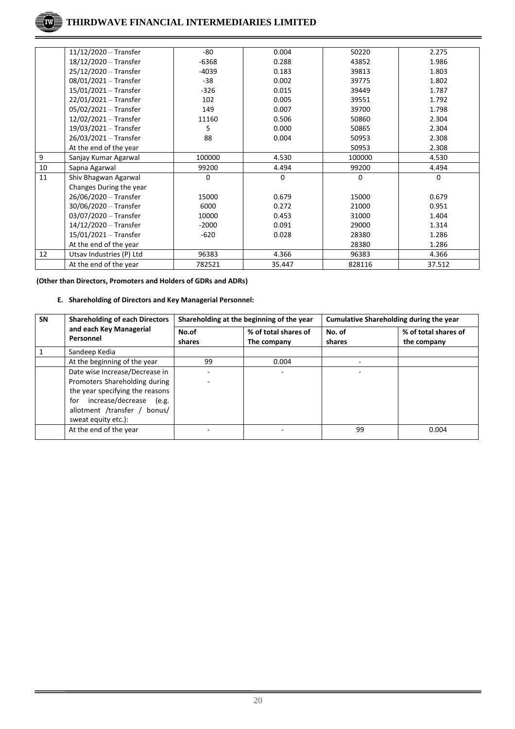|    | 11/12/2020 - Transfer    | $-80$    | 0.004  | 50220    | 2.275    |
|----|--------------------------|----------|--------|----------|----------|
|    | 18/12/2020 - Transfer    | $-6368$  | 0.288  | 43852    | 1.986    |
|    | 25/12/2020 - Transfer    | $-4039$  | 0.183  | 39813    | 1.803    |
|    | $08/01/2021 - Transfer$  | $-38$    | 0.002  | 39775    | 1.802    |
|    | 15/01/2021 - Transfer    | $-326$   | 0.015  | 39449    | 1.787    |
|    | $22/01/2021 - Transfer$  | 102      | 0.005  | 39551    | 1.792    |
|    | 05/02/2021 - Transfer    | 149      | 0.007  | 39700    | 1.798    |
|    | $12/02/2021 - Transfer$  | 11160    | 0.506  | 50860    | 2.304    |
|    | 19/03/2021 - Transfer    | 5        | 0.000  | 50865    | 2.304    |
|    | 26/03/2021 - Transfer    | 88       | 0.004  | 50953    | 2.308    |
|    | At the end of the year   |          |        | 50953    | 2.308    |
| 9  | Sanjay Kumar Agarwal     | 100000   | 4.530  | 100000   | 4.530    |
| 10 | Sapna Agarwal            | 99200    | 4.494  | 99200    | 4.494    |
| 11 | Shiv Bhagwan Agarwal     | $\Omega$ | 0      | $\Omega$ | $\Omega$ |
|    | Changes During the year  |          |        |          |          |
|    | 26/06/2020 - Transfer    | 15000    | 0.679  | 15000    | 0.679    |
|    | 30/06/2020 - Transfer    | 6000     | 0.272  | 21000    | 0.951    |
|    | 03/07/2020 - Transfer    | 10000    | 0.453  | 31000    | 1.404    |
|    | 14/12/2020 - Transfer    | $-2000$  | 0.091  | 29000    | 1.314    |
|    | $15/01/2021 - Transfer$  | $-620$   | 0.028  | 28380    | 1.286    |
|    | At the end of the year   |          |        | 28380    | 1.286    |
| 12 | Utsav Industries (P) Ltd | 96383    | 4.366  | 96383    | 4.366    |
|    | At the end of the year   | 782521   | 35.447 | 828116   | 37.512   |

**(Other than Directors, Promoters and Holders of GDRs and ADRs)**

## **E. Shareholding of Directors and Key Managerial Personnel:**

| <b>SN</b> | <b>Shareholding of each Directors</b>                                                                                                                                                          |                 | Shareholding at the beginning of the year | Cumulative Shareholding during the year |                                     |  |
|-----------|------------------------------------------------------------------------------------------------------------------------------------------------------------------------------------------------|-----------------|-------------------------------------------|-----------------------------------------|-------------------------------------|--|
|           | and each Key Managerial<br>Personnel                                                                                                                                                           | No.of<br>shares | % of total shares of<br>The company       | No. of<br>shares                        | % of total shares of<br>the company |  |
|           | Sandeep Kedia                                                                                                                                                                                  |                 |                                           |                                         |                                     |  |
|           | At the beginning of the year                                                                                                                                                                   | 99              | 0.004                                     |                                         |                                     |  |
|           | Date wise Increase/Decrease in<br>Promoters Shareholding during<br>the year specifying the reasons<br>increase/decrease<br>for<br>(e.g.<br>allotment /transfer / bonus/<br>sweat equity etc.): |                 |                                           |                                         |                                     |  |
|           | At the end of the year                                                                                                                                                                         |                 |                                           | 99                                      | 0.004                               |  |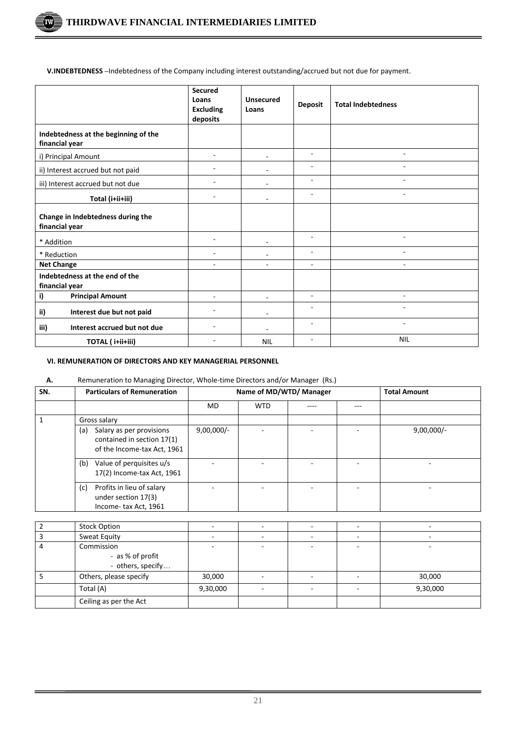ΊW

**V.INDEBTEDNESS –**Indebtedness of the Company including interest outstanding/accrued but not due for payment.

|                                                        | Secured<br>Loans<br><b>Excluding</b><br>deposits | <b>Unsecured</b><br>Loans | <b>Deposit</b>           | <b>Total Indebtedness</b> |
|--------------------------------------------------------|--------------------------------------------------|---------------------------|--------------------------|---------------------------|
| Indebtedness at the beginning of the<br>financial year |                                                  |                           |                          |                           |
| i) Principal Amount                                    | $\overline{a}$                                   |                           | ٠                        |                           |
| ii) Interest accrued but not paid                      |                                                  |                           | $\overline{\phantom{a}}$ |                           |
| iii) Interest accrued but not due                      |                                                  |                           | $\overline{\phantom{m}}$ |                           |
| Total (i+ii+iii)                                       |                                                  |                           | $\overline{\phantom{a}}$ |                           |
| Change in Indebtedness during the<br>financial year    |                                                  |                           |                          |                           |
| * Addition                                             |                                                  |                           | <b>.</b>                 |                           |
| * Reduction                                            |                                                  |                           | $\overline{\phantom{a}}$ |                           |
| <b>Net Change</b>                                      |                                                  |                           | $\overline{\phantom{a}}$ |                           |
| Indebtedness at the end of the<br>financial year       |                                                  |                           |                          |                           |
| i)<br><b>Principal Amount</b>                          |                                                  | ٠                         | $\blacksquare$           |                           |
| ii)<br>Interest due but not paid                       |                                                  |                           |                          |                           |
| iii)<br>Interest accrued but not due                   |                                                  |                           | $\overline{\phantom{a}}$ |                           |
| TOTAL (i+ii+iii)                                       |                                                  | <b>NIL</b>                |                          | <b>NIL</b>                |

## **VI. REMUNERATION OF DIRECTORS AND KEY MANAGERIAL PERSONNEL**

# **A.** Remuneration to Managing Director, Whole-time Directors and/or Manager (Rs.)

| SN. | <b>Particulars of Remuneration</b>                                                           | Name of MD/WTD/ Manager |            |      |  | <b>Total Amount</b> |
|-----|----------------------------------------------------------------------------------------------|-------------------------|------------|------|--|---------------------|
|     |                                                                                              | MD                      | <b>WTD</b> | ---- |  |                     |
|     | Gross salary                                                                                 |                         |            |      |  |                     |
|     | Salary as per provisions<br>(a)<br>contained in section 17(1)<br>of the Income-tax Act, 1961 | $9,00,000/-$            |            |      |  | $9,00,000/-$        |
|     | Value of perquisites u/s<br>(b)<br>17(2) Income-tax Act, 1961                                |                         |            |      |  |                     |
|     | Profits in lieu of salary<br>(c)<br>under section 17(3)<br>Income-tax Act, 1961              |                         |            |      |  |                     |

| <b>Stock Option</b>                                 |          |   |          |
|-----------------------------------------------------|----------|---|----------|
| Sweat Equity                                        |          | - |          |
| Commission<br>- as % of profit<br>- others, specify |          |   |          |
| Others, please specify                              | 30,000   |   | 30,000   |
| Total (A)                                           | 9,30,000 |   | 9,30,000 |
| Ceiling as per the Act                              |          |   |          |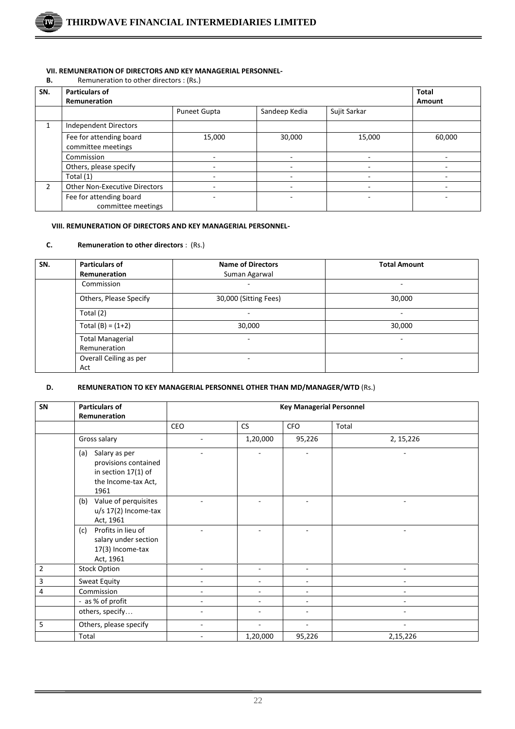

#### **VII. REMUNERATION OF DIRECTORS AND KEY MANAGERIAL PERSONNEL-**

| В. | Remuneration to other directors : (Rs.) |
|----|-----------------------------------------|
|----|-----------------------------------------|

| SN.           | Particulars of                                | <b>Total</b>        |               |              |        |
|---------------|-----------------------------------------------|---------------------|---------------|--------------|--------|
|               | <b>Remuneration</b>                           |                     | Amount        |              |        |
|               |                                               | <b>Puneet Gupta</b> | Sandeep Kedia | Sujit Sarkar |        |
|               | Independent Directors                         |                     |               |              |        |
|               | Fee for attending board<br>committee meetings | 15,000              | 30,000        | 15,000       | 60,000 |
|               | Commission                                    |                     |               |              |        |
|               | Others, please specify                        |                     |               |              |        |
|               | Total (1)                                     |                     |               |              |        |
| $\mathcal{P}$ | <b>Other Non-Executive Directors</b>          |                     |               |              |        |
|               | Fee for attending board<br>committee meetings |                     |               |              |        |

#### **VIII. REMUNERATION OF DIRECTORS AND KEY MANAGERIAL PERSONNEL-**

# **C. Remuneration to other directors** : (Rs.)

| SN. | <b>Particulars of</b>   | <b>Name of Directors</b> | <b>Total Amount</b>      |
|-----|-------------------------|--------------------------|--------------------------|
|     | <b>Remuneration</b>     | Suman Agarwal            |                          |
|     | Commission              |                          | $\overline{\phantom{0}}$ |
|     | Others, Please Specify  | 30,000 (Sitting Fees)    | 30,000                   |
|     | Total (2)               |                          | ۰                        |
|     | Total $(B) = (1+2)$     | 30,000                   | 30,000                   |
|     | <b>Total Managerial</b> |                          |                          |
|     | Remuneration            |                          |                          |
|     | Overall Ceiling as per  | ۰                        | -                        |
|     | Act                     |                          |                          |

#### **D. REMUNERATION TO KEY MANAGERIAL PERSONNEL OTHER THAN MD/MANAGER/WTD** (Rs.)

| SN             | <b>Particulars of</b><br>Remuneration                                                              | <b>Key Managerial Personnel</b> |           |            |            |  |
|----------------|----------------------------------------------------------------------------------------------------|---------------------------------|-----------|------------|------------|--|
|                |                                                                                                    | CEO                             | <b>CS</b> | <b>CFO</b> | Total      |  |
|                | Gross salary                                                                                       |                                 | 1,20,000  | 95,226     | 2, 15, 226 |  |
|                | Salary as per<br>(a)<br>provisions contained<br>in section 17(1) of<br>the Income-tax Act,<br>1961 |                                 |           |            |            |  |
|                | Value of perquisites<br>(b)<br>u/s 17(2) Income-tax<br>Act, 1961                                   |                                 |           |            |            |  |
|                | Profits in lieu of<br>(c)<br>salary under section<br>17(3) Income-tax<br>Act, 1961                 |                                 |           |            |            |  |
| $\overline{2}$ | <b>Stock Option</b>                                                                                |                                 |           |            |            |  |
| 3              | Sweat Equity                                                                                       | $\overline{\phantom{a}}$        | ٠         |            | ٠          |  |
| 4              | Commission                                                                                         |                                 |           |            |            |  |
|                | - as % of profit                                                                                   |                                 |           |            |            |  |
|                | others, specify                                                                                    |                                 |           |            |            |  |
| 5              | Others, please specify                                                                             |                                 |           |            |            |  |
|                | Total                                                                                              |                                 | 1,20,000  | 95,226     | 2,15,226   |  |